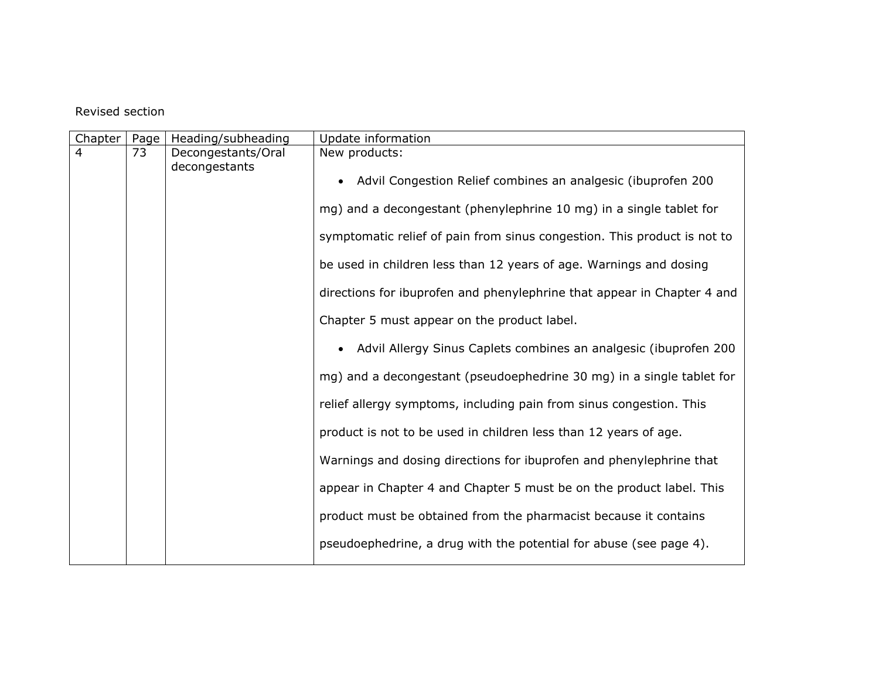## Revised section

| Chapter        | Page | Heading/subheading                                                  | Update information                                                       |
|----------------|------|---------------------------------------------------------------------|--------------------------------------------------------------------------|
| $\overline{4}$ | 73   | Decongestants/Oral                                                  | New products:                                                            |
|                |      | decongestants                                                       | Advil Congestion Relief combines an analgesic (ibuprofen 200             |
|                |      |                                                                     | mg) and a decongestant (phenylephrine 10 mg) in a single tablet for      |
|                |      |                                                                     | symptomatic relief of pain from sinus congestion. This product is not to |
|                |      |                                                                     | be used in children less than 12 years of age. Warnings and dosing       |
|                |      |                                                                     | directions for ibuprofen and phenylephrine that appear in Chapter 4 and  |
|                |      |                                                                     | Chapter 5 must appear on the product label.                              |
|                |      |                                                                     | Advil Allergy Sinus Caplets combines an analgesic (ibuprofen 200         |
|                |      |                                                                     | mg) and a decongestant (pseudoephedrine 30 mg) in a single tablet for    |
|                |      |                                                                     | relief allergy symptoms, including pain from sinus congestion. This      |
|                |      |                                                                     | product is not to be used in children less than 12 years of age.         |
|                |      | Warnings and dosing directions for ibuprofen and phenylephrine that |                                                                          |
|                |      |                                                                     | appear in Chapter 4 and Chapter 5 must be on the product label. This     |
|                |      |                                                                     | product must be obtained from the pharmacist because it contains         |
|                |      |                                                                     | pseudoephedrine, a drug with the potential for abuse (see page 4).       |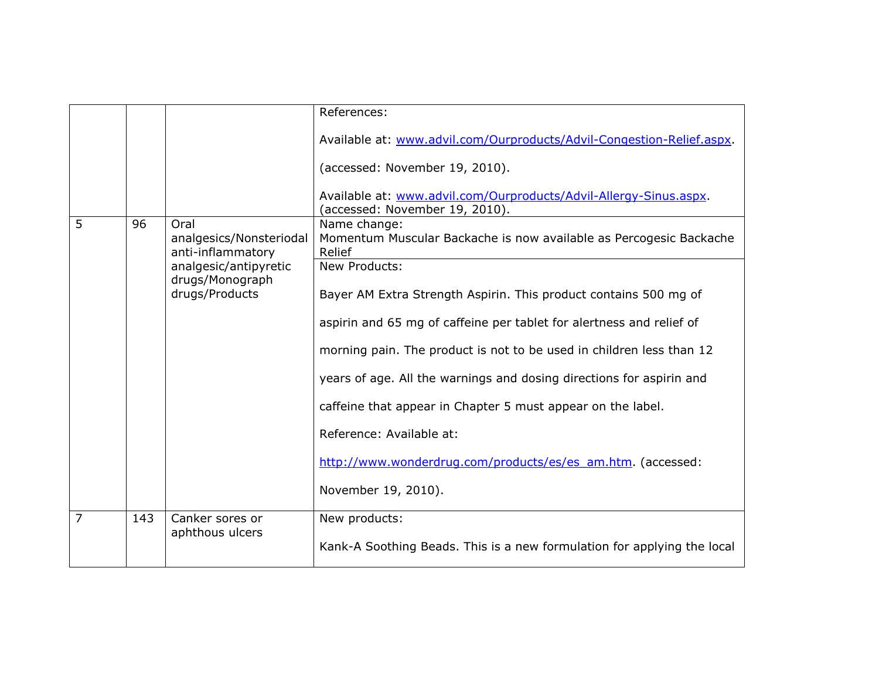|                |     |                                                                                                            | References:                                                                                         |
|----------------|-----|------------------------------------------------------------------------------------------------------------|-----------------------------------------------------------------------------------------------------|
|                |     |                                                                                                            | Available at: www.advil.com/Ourproducts/Advil-Congestion-Relief.aspx.                               |
|                |     |                                                                                                            | (accessed: November 19, 2010).                                                                      |
|                |     |                                                                                                            | Available at: www.advil.com/Ourproducts/Advil-Allergy-Sinus.aspx.<br>(accessed: November 19, 2010). |
| 5              | 96  | Oral                                                                                                       | Name change:                                                                                        |
|                |     | analgesics/Nonsteriodal<br>anti-inflammatory<br>analgesic/antipyretic<br>drugs/Monograph<br>drugs/Products | Momentum Muscular Backache is now available as Percogesic Backache<br>Relief                        |
|                |     |                                                                                                            | New Products:                                                                                       |
|                |     |                                                                                                            | Bayer AM Extra Strength Aspirin. This product contains 500 mg of                                    |
|                |     |                                                                                                            | aspirin and 65 mg of caffeine per tablet for alertness and relief of                                |
|                |     |                                                                                                            | morning pain. The product is not to be used in children less than 12                                |
|                |     |                                                                                                            | years of age. All the warnings and dosing directions for aspirin and                                |
|                |     |                                                                                                            | caffeine that appear in Chapter 5 must appear on the label.                                         |
|                |     |                                                                                                            | Reference: Available at:                                                                            |
|                |     |                                                                                                            | http://www.wonderdrug.com/products/es/es_am.htm. (accessed:                                         |
|                |     |                                                                                                            | November 19, 2010).                                                                                 |
| $\overline{7}$ | 143 | Canker sores or                                                                                            | New products:                                                                                       |
|                |     | aphthous ulcers                                                                                            | Kank-A Soothing Beads. This is a new formulation for applying the local                             |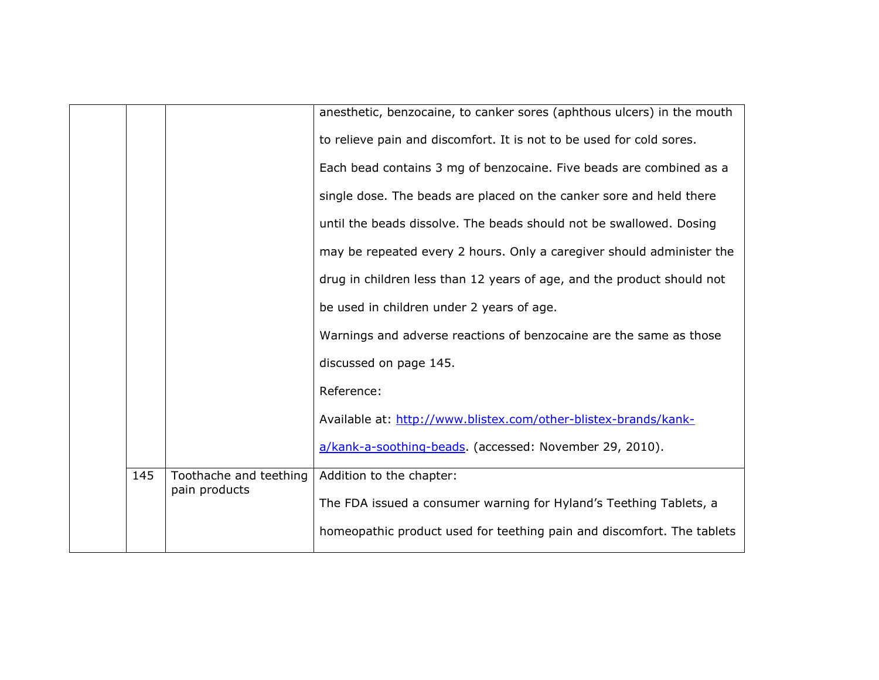|     |                        | anesthetic, benzocaine, to canker sores (aphthous ulcers) in the mouth |
|-----|------------------------|------------------------------------------------------------------------|
|     |                        | to relieve pain and discomfort. It is not to be used for cold sores.   |
|     |                        | Each bead contains 3 mg of benzocaine. Five beads are combined as a    |
|     |                        | single dose. The beads are placed on the canker sore and held there    |
|     |                        | until the beads dissolve. The beads should not be swallowed. Dosing    |
|     |                        | may be repeated every 2 hours. Only a caregiver should administer the  |
|     |                        | drug in children less than 12 years of age, and the product should not |
|     |                        | be used in children under 2 years of age.                              |
|     |                        | Warnings and adverse reactions of benzocaine are the same as those     |
|     |                        | discussed on page 145.                                                 |
|     |                        | Reference:                                                             |
|     |                        | Available at: http://www.blistex.com/other-blistex-brands/kank-        |
|     |                        | a/kank-a-soothing-beads. (accessed: November 29, 2010).                |
| 145 | Toothache and teething | Addition to the chapter:                                               |
|     | pain products          | The FDA issued a consumer warning for Hyland's Teething Tablets, a     |
|     |                        |                                                                        |
|     |                        | homeopathic product used for teething pain and discomfort. The tablets |
|     |                        |                                                                        |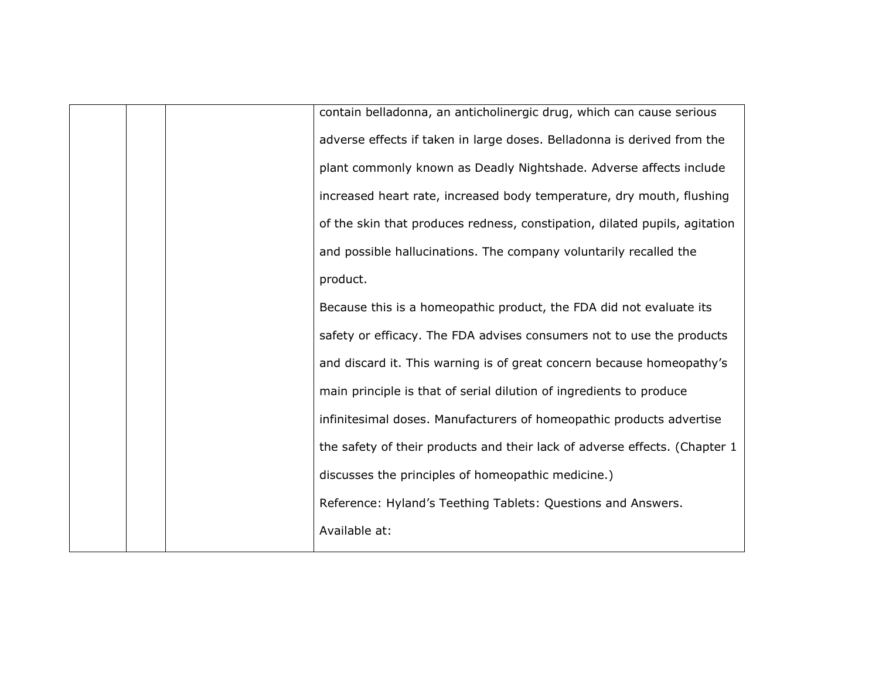|  | contain belladonna, an anticholinergic drug, which can cause serious       |
|--|----------------------------------------------------------------------------|
|  | adverse effects if taken in large doses. Belladonna is derived from the    |
|  | plant commonly known as Deadly Nightshade. Adverse affects include         |
|  | increased heart rate, increased body temperature, dry mouth, flushing      |
|  | of the skin that produces redness, constipation, dilated pupils, agitation |
|  | and possible hallucinations. The company voluntarily recalled the          |
|  | product.                                                                   |
|  | Because this is a homeopathic product, the FDA did not evaluate its        |
|  | safety or efficacy. The FDA advises consumers not to use the products      |
|  | and discard it. This warning is of great concern because homeopathy's      |
|  | main principle is that of serial dilution of ingredients to produce        |
|  | infinitesimal doses. Manufacturers of homeopathic products advertise       |
|  | the safety of their products and their lack of adverse effects. (Chapter 1 |
|  | discusses the principles of homeopathic medicine.)                         |
|  | Reference: Hyland's Teething Tablets: Questions and Answers.               |
|  | Available at:                                                              |
|  |                                                                            |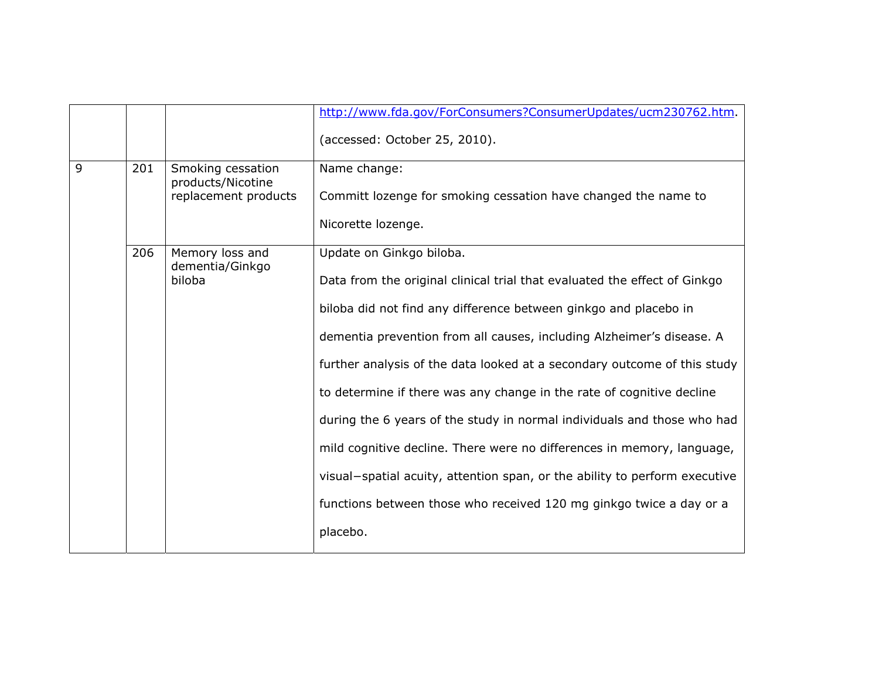|   |     |                                                                | http://www.fda.gov/ForConsumers?ConsumerUpdates/ucm230762.htm.             |
|---|-----|----------------------------------------------------------------|----------------------------------------------------------------------------|
|   |     |                                                                | (accessed: October 25, 2010).                                              |
| 9 | 201 | Smoking cessation<br>products/Nicotine<br>replacement products | Name change:                                                               |
|   |     |                                                                | Committ lozenge for smoking cessation have changed the name to             |
|   |     |                                                                | Nicorette lozenge.                                                         |
|   | 206 | Memory loss and<br>dementia/Ginkgo<br>biloba                   | Update on Ginkgo biloba.                                                   |
|   |     |                                                                | Data from the original clinical trial that evaluated the effect of Ginkgo  |
|   |     |                                                                | biloba did not find any difference between ginkgo and placebo in           |
|   |     |                                                                | dementia prevention from all causes, including Alzheimer's disease. A      |
|   |     |                                                                | further analysis of the data looked at a secondary outcome of this study   |
|   |     |                                                                | to determine if there was any change in the rate of cognitive decline      |
|   |     |                                                                | during the 6 years of the study in normal individuals and those who had    |
|   |     |                                                                | mild cognitive decline. There were no differences in memory, language,     |
|   |     |                                                                | visual-spatial acuity, attention span, or the ability to perform executive |
|   |     |                                                                | functions between those who received 120 mg ginkgo twice a day or a        |
|   |     |                                                                | placebo.                                                                   |